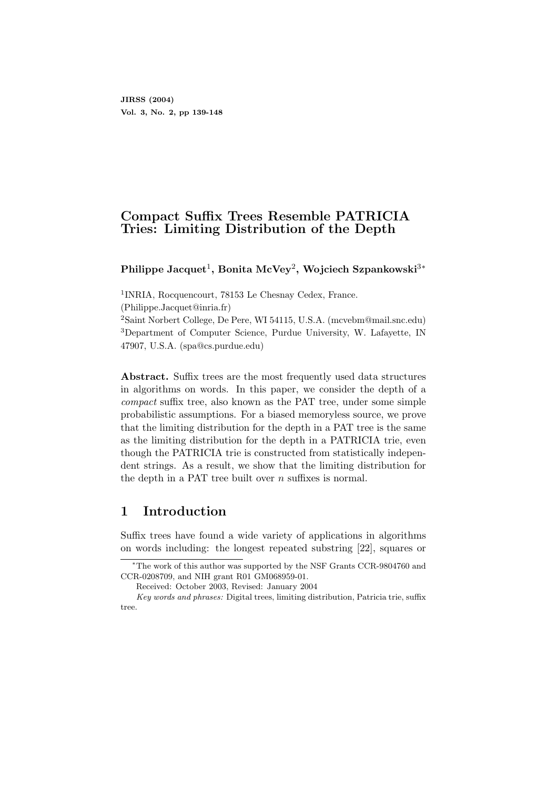# Compact Suffix Trees Resemble PATRICIA Tries: Limiting Distribution of the Depth

Philippe Jacquet $^1,$  Bonita McVey $^2,$  Wojciech Szpankowski $^{3\ast}$ 

1 INRIA, Rocquencourt, 78153 Le Chesnay Cedex, France.

(Philippe.Jacquet@inria.fr)

<sup>2</sup>Saint Norbert College, De Pere, WI 54115, U.S.A. (mcvebm@mail.snc.edu) <sup>3</sup>Department of Computer Science, Purdue University, W. Lafayette, IN 47907, U.S.A. (spa@cs.purdue.edu)

Abstract. Suffix trees are the most frequently used data structures in algorithms on words. In this paper, we consider the depth of a compact suffix tree, also known as the PAT tree, under some simple probabilistic assumptions. For a biased memoryless source, we prove that the limiting distribution for the depth in a PAT tree is the same as the limiting distribution for the depth in a PATRICIA trie, even though the PATRICIA trie is constructed from statistically independent strings. As a result, we show that the limiting distribution for the depth in a PAT tree built over n suffixes is normal.

# 1 Introduction

Suffix trees have found a wide variety of applications in algorithms on words including: the longest repeated substring [22], squares or

<sup>∗</sup>The work of this author was supported by the NSF Grants CCR-9804760 and CCR-0208709, and NIH grant R01 GM068959-01.

Received: October 2003, Revised: January 2004

Key words and phrases: Digital trees, limiting distribution, Patricia trie, suffix tree.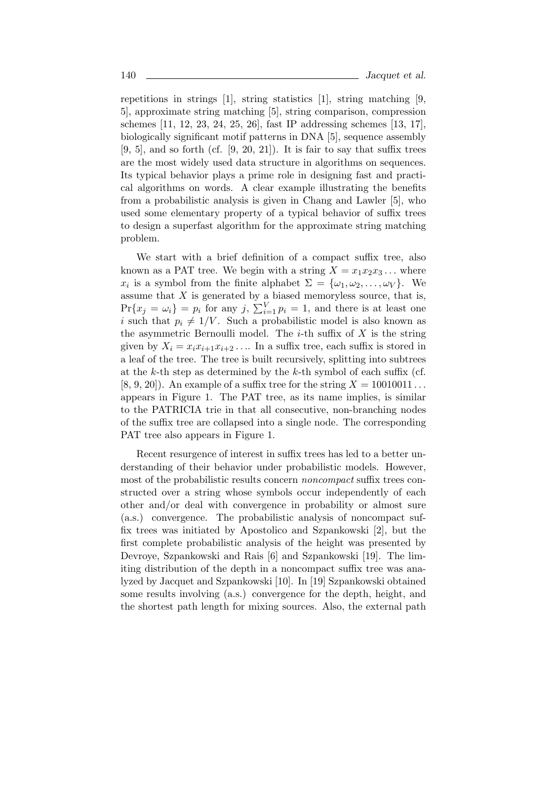repetitions in strings [1], string statistics [1], string matching [9, 5], approximate string matching [5], string comparison, compression schemes [11, 12, 23, 24, 25, 26], fast IP addressing schemes [13, 17], biologically significant motif patterns in DNA [5], sequence assembly  $[9, 5]$ , and so forth (cf.  $[9, 20, 21]$ ). It is fair to say that suffix trees are the most widely used data structure in algorithms on sequences. Its typical behavior plays a prime role in designing fast and practical algorithms on words. A clear example illustrating the benefits from a probabilistic analysis is given in Chang and Lawler [5], who used some elementary property of a typical behavior of suffix trees to design a superfast algorithm for the approximate string matching problem.

We start with a brief definition of a compact suffix tree, also known as a PAT tree. We begin with a string  $X = x_1x_2x_3...$  where  $x_i$  is a symbol from the finite alphabet  $\Sigma = {\omega_1, \omega_2, \ldots, \omega_V}$ . We assume that  $X$  is generated by a biased memoryless source, that is,  $Pr{x_j = \omega_i} = p_i$  for any j,  $\sum_{i=1}^{V} p_i = 1$ , and there is at least one i such that  $p_i \neq 1/V$ . Such a probabilistic model is also known as the asymmetric Bernoulli model. The *i*-th suffix of  $X$  is the string given by  $X_i = x_i x_{i+1} x_{i+2} \dots$  In a suffix tree, each suffix is stored in a leaf of the tree. The tree is built recursively, splitting into subtrees at the k-th step as determined by the k-th symbol of each suffix (cf. [8, 9, 20]). An example of a suffix tree for the string  $X = 10010011...$ appears in Figure 1. The PAT tree, as its name implies, is similar to the PATRICIA trie in that all consecutive, non-branching nodes of the suffix tree are collapsed into a single node. The corresponding PAT tree also appears in Figure 1.

Recent resurgence of interest in suffix trees has led to a better understanding of their behavior under probabilistic models. However, most of the probabilistic results concern *noncompact* suffix trees constructed over a string whose symbols occur independently of each other and/or deal with convergence in probability or almost sure (a.s.) convergence. The probabilistic analysis of noncompact suffix trees was initiated by Apostolico and Szpankowski [2], but the first complete probabilistic analysis of the height was presented by Devroye, Szpankowski and Rais [6] and Szpankowski [19]. The limiting distribution of the depth in a noncompact suffix tree was analyzed by Jacquet and Szpankowski [10]. In [19] Szpankowski obtained some results involving (a.s.) convergence for the depth, height, and the shortest path length for mixing sources. Also, the external path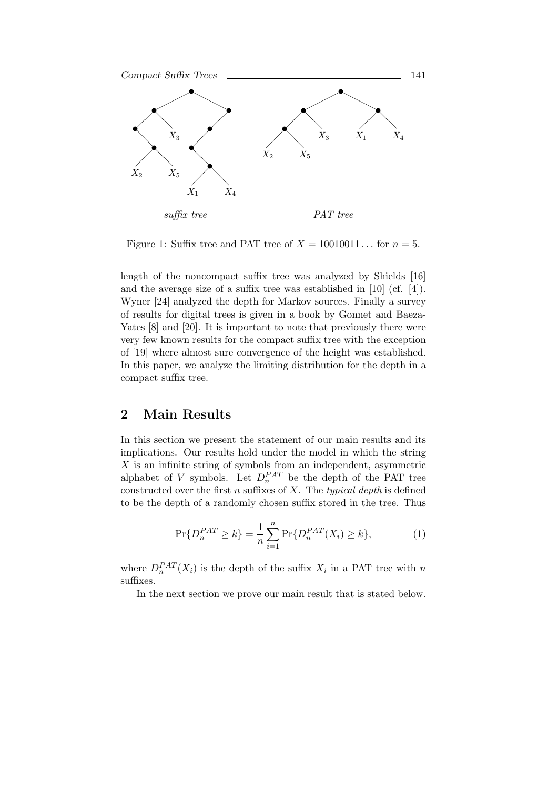

Figure 1: Suffix tree and PAT tree of  $X = 10010011...$  for  $n = 5$ .

length of the noncompact suffix tree was analyzed by Shields [16] and the average size of a suffix tree was established in [10] (cf. [4]). Wyner [24] analyzed the depth for Markov sources. Finally a survey of results for digital trees is given in a book by Gonnet and Baeza-Yates [8] and [20]. It is important to note that previously there were very few known results for the compact suffix tree with the exception of [19] where almost sure convergence of the height was established. In this paper, we analyze the limiting distribution for the depth in a compact suffix tree.

## 2 Main Results

In this section we present the statement of our main results and its implications. Our results hold under the model in which the string  $X$  is an infinite string of symbols from an independent, asymmetric alphabet of V symbols. Let  $D_n^{PAT}$  be the depth of the PAT tree constructed over the first  $n$  suffixes of  $X$ . The typical depth is defined to be the depth of a randomly chosen suffix stored in the tree. Thus

$$
\Pr\{D_n^{PAT} \ge k\} = \frac{1}{n} \sum_{i=1}^n \Pr\{D_n^{PAT}(X_i) \ge k\},\tag{1}
$$

where  $D_n^{PAT}(X_i)$  is the depth of the suffix  $X_i$  in a PAT tree with n suffixes.

In the next section we prove our main result that is stated below.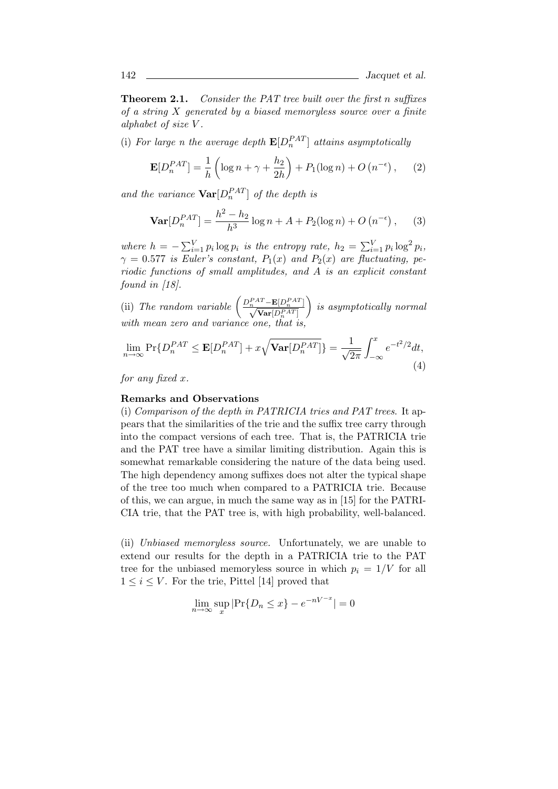**Theorem 2.1.** Consider the PAT tree built over the first n suffixes of a string  $X$  generated by a biased memoryless source over a finite alphabet of size V .

(i) For large n the average depth  $\mathbf{E}[D_n^{PATH}]$  attains asymptotically

$$
\mathbf{E}[D_n^{PAT}] = \frac{1}{h} \left( \log n + \gamma + \frac{h_2}{2h} \right) + P_1(\log n) + O\left(n^{-\epsilon}\right),\tag{2}
$$

and the variance  $\text{Var}[D_n^{PATH}]$  of the depth is

$$
\mathbf{Var}[D_n^{PAT}] = \frac{h^2 - h_2}{h^3} \log n + A + P_2(\log n) + O\left(n^{-\epsilon}\right),\tag{3}
$$

where  $h = -\sum_{i=1}^{V} p_i \log p_i$  is the entropy rate,  $h_2 = \sum_{i=1}^{V} p_i \log^2 p_i$ ,  $\gamma = 0.577$  is Euler's constant,  $P_1(x)$  and  $P_2(x)$  are fluctuating, periodic functions of small amplitudes, and A is an explicit constant found in [18].

(ii) The random variable  $\left( \frac{D_n^{PAT} - \mathbf{E}[D_n^{PAT}]}{\sqrt{\text{Var}[D_n^{PAT}]}} \right)$  $\big)$  is asymptotically normal with mean zero and variance one.

$$
\lim_{n \to \infty} \Pr\{D_n^{PAT} \le \mathbf{E}[D_n^{PAT}] + x\sqrt{\mathbf{Var}[D_n^{PAT}]}\} = \frac{1}{\sqrt{2\pi}} \int_{-\infty}^x e^{-t^2/2} dt,
$$
\n(4)

for any fixed  $x$ .

#### Remarks and Observations

(i) Comparison of the depth in PATRICIA tries and PAT trees. It appears that the similarities of the trie and the suffix tree carry through into the compact versions of each tree. That is, the PATRICIA trie and the PAT tree have a similar limiting distribution. Again this is somewhat remarkable considering the nature of the data being used. The high dependency among suffixes does not alter the typical shape of the tree too much when compared to a PATRICIA trie. Because of this, we can argue, in much the same way as in [15] for the PATRI-CIA trie, that the PAT tree is, with high probability, well-balanced.

(ii) Unbiased memoryless source. Unfortunately, we are unable to extend our results for the depth in a PATRICIA trie to the PAT tree for the unbiased memoryless source in which  $p_i = 1/V$  for all  $1 \leq i \leq V$ . For the trie, Pittel [14] proved that

$$
\lim_{n \to \infty} \sup_x |\Pr\{D_n \le x\} - e^{-nV^{-x}}| = 0
$$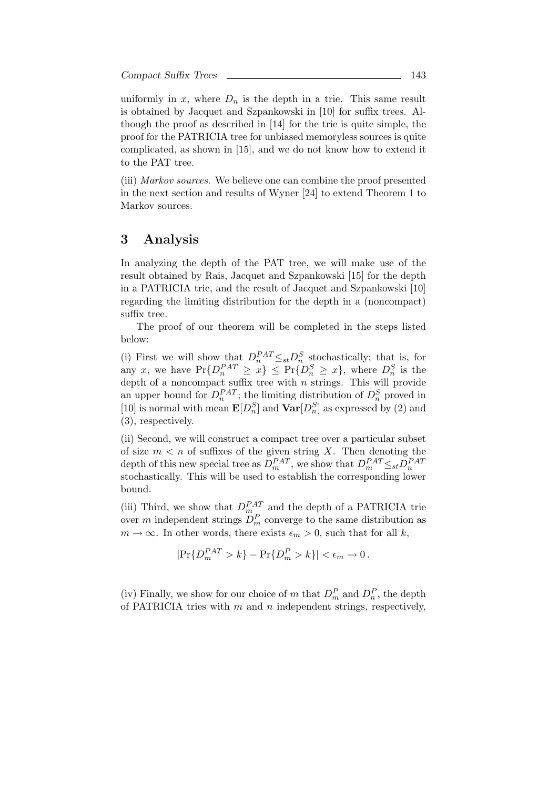uniformly in  $x$ , where  $D_n$  is the depth in a trie. This same result is obtained by Jacquet and Szpankowski in [10] for suffix trees. Although the proof as described in [14] for the trie is quite simple, the proof for the PATRICIA tree for unbiased memoryless sources is quite complicated, as shown in [15], and we do not know how to extend it to the PAT tree.

(iii) Markov sources. We believe one can combine the proof presented in the next section and results of Wyner [24] to extend Theorem 1 to Markov sources.

### 3 Analysis

In analyzing the depth of the PAT tree, we will make use of the result obtained by Rais, Jacquet and Szpankowski [15] for the depth in a PATRICIA trie, and the result of Jacquet and Szpankowski [10] regarding the limiting distribution for the depth in a (noncompact) suffix tree.

The proof of our theorem will be completed in the steps listed below:

(i) First we will show that  $D_n^{PAT} \leq_{st} D_n^S$  stochastically; that is, for any x, we have  $Pr\{D_n^{PAT} \ge x\} \le Pr\{D_n^S \ge x\}$ , where  $D_n^S$  is the depth of a noncompact suffix tree with *n* strings. This will provide an upper bound for  $D_n^{PAT}$ ; the limiting distribution of  $D_n^S$  proved in [10] is normal with mean  $\mathbf{E}[D_n^S]$  and  $\mathbf{Var}[D_n^S]$  as expressed by (2) and (3), respectively.

(ii) Second, we will construct a compact tree over a particular subset of size  $m < n$  of suffixes of the given string X. Then denoting the depth of this new special tree as  $D_m^{PAT}$ , we show that  $D_m^{PAT} \leq_{st} D_n^{PAT}$ stochastically. This will be used to establish the corresponding lower bound.

(iii) Third, we show that  $D_{m}^{PAT}$  and the depth of a PATRICIA trie over m independent strings  $D_m^P$  converge to the same distribution as  $m \to \infty$ . In other words, there exists  $\epsilon_m > 0$ , such that for all k,

$$
|\Pr\{D_m^{PAT} > k\} - \Pr\{D_m^P > k\}| < \epsilon_m \to 0.
$$

(iv) Finally, we show for our choice of m that  $D_m^P$  and  $D_n^P$ , the depth of PATRICIA tries with  $m$  and  $n$  independent strings, respectively,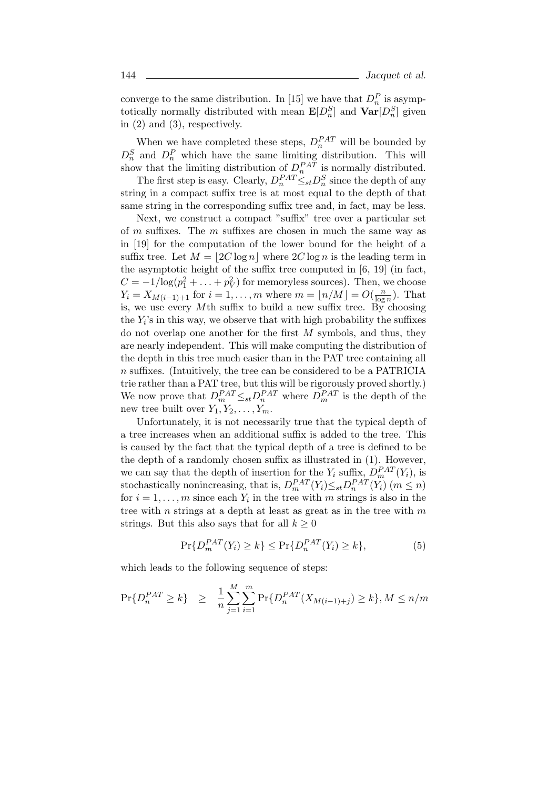converge to the same distribution. In [15] we have that  $D_n^P$  is asymptotically normally distributed with mean  $\mathbf{E}[D_n^S]$  and  $\mathbf{Var}[D_n^S]$  given in (2) and (3), respectively.

When we have completed these steps,  $D_n^{PAT}$  will be bounded by  $D_n^S$  and  $D_n^P$  which have the same limiting distribution. This will show that the limiting distribution of  $D_n^{PAT}$  is normally distributed.

The first step is easy. Clearly,  $D_n^{PAT} \leq_{st} D_n^S$  since the depth of any string in a compact suffix tree is at most equal to the depth of that same string in the corresponding suffix tree and, in fact, may be less.

Next, we construct a compact "suffix" tree over a particular set of m suffixes. The m suffixes are chosen in much the same way as in [19] for the computation of the lower bound for the height of a suffix tree. Let  $M = 2C \log n$  where  $2C \log n$  is the leading term in the asymptotic height of the suffix tree computed in [6, 19] (in fact,  $C = -1/\log(p_1^2 + \ldots + p_V^2)$  for memoryless sources). Then, we choose  $Y_i = X_{M(i-1)+1}$  for  $i = 1, \ldots, m$  where  $m = \lfloor n/M \rfloor = O(\frac{n}{\log m})$  $\frac{n}{\log n}$ ). That is, we use every Mth suffix to build a new suffix tree. By choosing the  $Y_i$ 's in this way, we observe that with high probability the suffixes do not overlap one another for the first  $M$  symbols, and thus, they are nearly independent. This will make computing the distribution of the depth in this tree much easier than in the PAT tree containing all n suffixes. (Intuitively, the tree can be considered to be a PATRICIA trie rather than a PAT tree, but this will be rigorously proved shortly.) We now prove that  $D_m^{PAT} \leq_{st} D_n^{PAT}$  where  $D_m^{PAT}$  is the depth of the new tree built over  $Y_1, Y_2, \ldots, Y_m$ .

Unfortunately, it is not necessarily true that the typical depth of a tree increases when an additional suffix is added to the tree. This is caused by the fact that the typical depth of a tree is defined to be the depth of a randomly chosen suffix as illustrated in (1). However, we can say that the depth of insertion for the  $Y_i$  suffix,  $D_m^{PAT}(Y_i)$ , is stochastically nonincreasing, that is,  $D_m^{PAT}(Y_i) \leq_{st} D_n^{PAT}(Y_i)$   $(m \leq n)$ for  $i = 1, \ldots, m$  since each  $Y_i$  in the tree with m strings is also in the tree with n strings at a depth at least as great as in the tree with  $m$ strings. But this also says that for all  $k \geq 0$ 

$$
\Pr\{D_m^{PAT}(Y_i) \ge k\} \le \Pr\{D_n^{PAT}(Y_i) \ge k\},\tag{5}
$$

which leads to the following sequence of steps:

$$
\Pr\{D_n^{PAT} \ge k\} \ge \frac{1}{n} \sum_{j=1}^M \sum_{i=1}^m \Pr\{D_n^{PAT}(X_{M(i-1)+j}) \ge k\}, M \le n/m
$$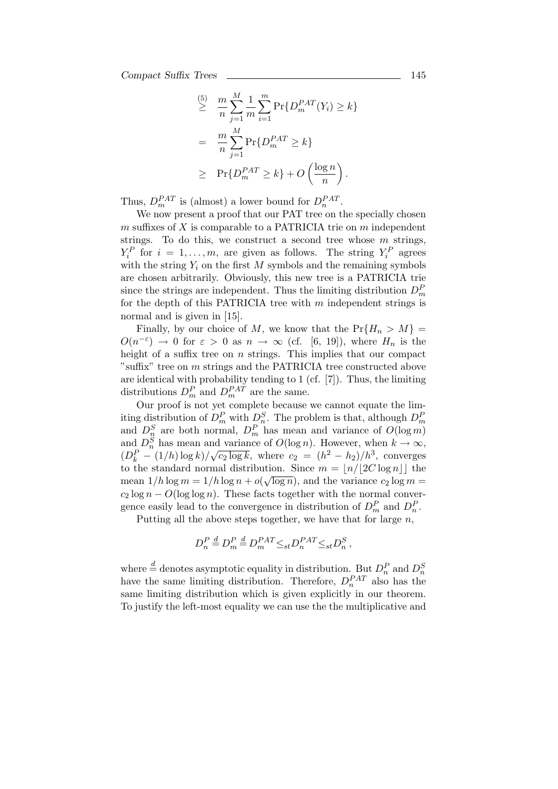$$
\geq \frac{m}{n} \sum_{j=1}^{M} \frac{1}{m} \sum_{i=1}^{m} \Pr\{D_m^{PAT}(Y_i) \geq k\}
$$

$$
= \frac{m}{n} \sum_{j=1}^{M} \Pr\{D_m^{PAT} \geq k\}
$$

$$
\geq \Pr\{D_m^{PAT} \geq k\} + O\left(\frac{\log n}{n}\right).
$$

Thus,  $D_m^{PAT}$  is (almost) a lower bound for  $D_n^{PAT}$ .

We now present a proof that our PAT tree on the specially chosen  $m$  suffixes of  $X$  is comparable to a PATRICIA trie on  $m$  independent strings. To do this, we construct a second tree whose  $m$  strings,  $Y_i^P$  for  $i = 1, ..., m$ , are given as follows. The string  $Y_i^P$  agrees with the string  $Y_i$  on the first M symbols and the remaining symbols are chosen arbitrarily. Obviously, this new tree is a PATRICIA trie since the strings are independent. Thus the limiting distribution  $D_m^P$ for the depth of this PATRICIA tree with  $m$  independent strings is normal and is given in [15].

Finally, by our choice of M, we know that the  $Pr{H_n > M}$  $O(n^{-\varepsilon}) \to 0$  for  $\varepsilon > 0$  as  $n \to \infty$  (cf. [6, 19]), where  $H_n$  is the height of a suffix tree on  $n$  strings. This implies that our compact "suffix" tree on m strings and the PATRICIA tree constructed above are identical with probability tending to 1 (cf. [7]). Thus, the limiting distributions  $D_m^P$  and  $D_m^{PAT}$  are the same.

Our proof is not yet complete because we cannot equate the limiting distribution of  $D_m^P$  with  $D_n^S$ . The problem is that, although  $D_n^P$ ning distribution of  $D_m$  with  $D_n^2$ . The problem is that, although  $D_m$ <br>and  $D_n^S$  are both normal,  $D_m^P$  has mean and variance of  $O(\log m)$ and  $D_n^S$  has mean and variance of  $O(\log n)$ . However, when  $k \to \infty$ ,  $(D_k^P - (1/h) \log k)$ / ⊥ıc  $\overline{c_2 \log k}$ , where  $c_2 = (h^2 - h_2)/h^3$ , converges to the standard normal distribution. Since  $m = \lfloor n/\lfloor 2C \log n \rfloor \rfloor$  the mean  $1/h \log m = 1/h \log n + o(\sqrt{\log n})$ , and the variance  $c_2 \log m =$  $c_2 \log n - O(\log \log n)$ . These facts together with the normal convergence easily lead to the convergence in distribution of  $D_m^P$  and  $D_n^P$ .

Putting all the above steps together, we have that for large  $n$ ,

$$
D_n^P \stackrel{d}{=} D_m^P \stackrel{d}{=} D_m^{PAT} \leq_{st} D_n^{PAT} \leq_{st} D_n^S \,,
$$

where  $\stackrel{d}{=}$  denotes asymptotic equality in distribution. But  $D_n^P$  and  $D_n^S$ have the same limiting distribution. Therefore,  $D_n^{PAT}$  also has the same limiting distribution which is given explicitly in our theorem. To justify the left-most equality we can use the the multiplicative and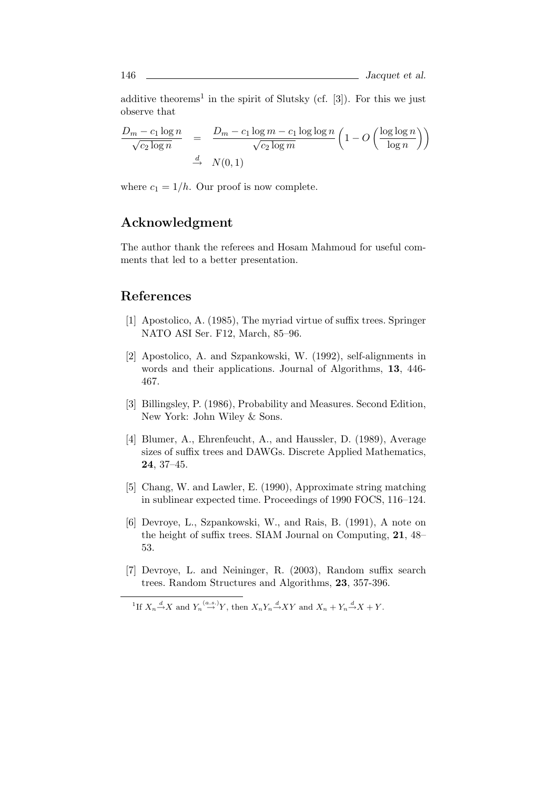additive theorems<sup>1</sup> in the spirit of Slutsky (cf.  $[3]$ ). For this we just observe that

$$
\frac{D_m - c_1 \log n}{\sqrt{c_2 \log n}} = \frac{D_m - c_1 \log m - c_1 \log \log n}{\sqrt{c_2 \log m}} \left(1 - O\left(\frac{\log \log n}{\log n}\right)\right)
$$
  

$$
\xrightarrow{d} N(0, 1)
$$

where  $c_1 = 1/h$ . Our proof is now complete.

# Acknowledgment

The author thank the referees and Hosam Mahmoud for useful comments that led to a better presentation.

## References

- [1] Apostolico, A. (1985), The myriad virtue of suffix trees. Springer NATO ASI Ser. F12, March, 85–96.
- [2] Apostolico, A. and Szpankowski, W. (1992), self-alignments in words and their applications. Journal of Algorithms, 13, 446- 467.
- [3] Billingsley, P. (1986), Probability and Measures. Second Edition, New York: John Wiley & Sons.
- [4] Blumer, A., Ehrenfeucht, A., and Haussler, D. (1989), Average sizes of suffix trees and DAWGs. Discrete Applied Mathematics, 24, 37–45.
- [5] Chang, W. and Lawler, E. (1990), Approximate string matching in sublinear expected time. Proceedings of 1990 FOCS, 116–124.
- [6] Devroye, L., Szpankowski, W., and Rais, B. (1991), A note on the height of suffix trees. SIAM Journal on Computing, 21, 48– 53.
- [7] Devroye, L. and Neininger, R. (2003), Random suffix search trees. Random Structures and Algorithms, 23, 357-396.

<sup>&</sup>lt;sup>1</sup>If  $X_n \stackrel{d}{\rightarrow} X$  and  $Y_n \stackrel{(a.s.)}{\rightarrow} Y$ , then  $X_n Y_n \stackrel{d}{\rightarrow} XY$  and  $X_n + Y_n \stackrel{d}{\rightarrow} X + Y$ .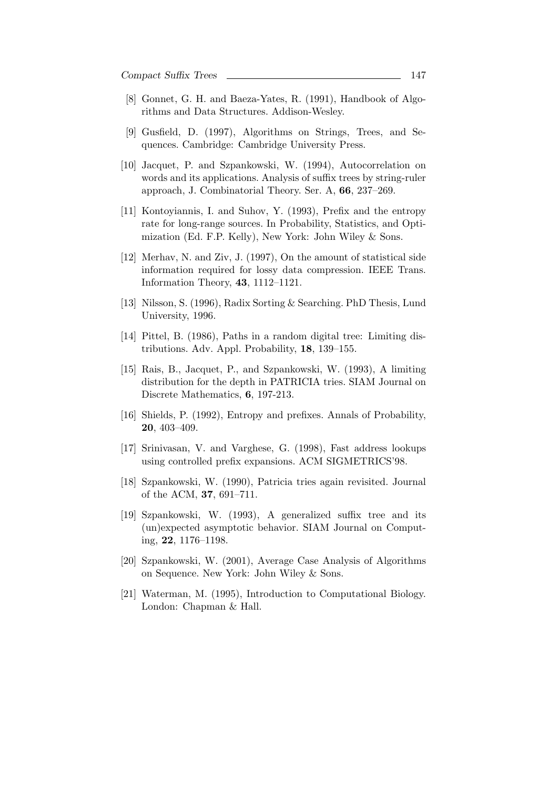- [8] Gonnet, G. H. and Baeza-Yates, R. (1991), Handbook of Algorithms and Data Structures. Addison-Wesley.
- [9] Gusfield, D. (1997), Algorithms on Strings, Trees, and Sequences. Cambridge: Cambridge University Press.
- [10] Jacquet, P. and Szpankowski, W. (1994), Autocorrelation on words and its applications. Analysis of suffix trees by string-ruler approach, J. Combinatorial Theory. Ser. A, 66, 237–269.
- [11] Kontoyiannis, I. and Suhov, Y. (1993), Prefix and the entropy rate for long-range sources. In Probability, Statistics, and Optimization (Ed. F.P. Kelly), New York: John Wiley & Sons.
- [12] Merhav, N. and Ziv, J. (1997), On the amount of statistical side information required for lossy data compression. IEEE Trans. Information Theory, 43, 1112–1121.
- [13] Nilsson, S. (1996), Radix Sorting & Searching. PhD Thesis, Lund University, 1996.
- [14] Pittel, B. (1986), Paths in a random digital tree: Limiting distributions. Adv. Appl. Probability, 18, 139–155.
- [15] Rais, B., Jacquet, P., and Szpankowski, W. (1993), A limiting distribution for the depth in PATRICIA tries. SIAM Journal on Discrete Mathematics, 6, 197-213.
- [16] Shields, P. (1992), Entropy and prefixes. Annals of Probability, 20, 403–409.
- [17] Srinivasan, V. and Varghese, G. (1998), Fast address lookups using controlled prefix expansions. ACM SIGMETRICS'98.
- [18] Szpankowski, W. (1990), Patricia tries again revisited. Journal of the ACM, 37, 691–711.
- [19] Szpankowski, W. (1993), A generalized suffix tree and its (un)expected asymptotic behavior. SIAM Journal on Computing, 22, 1176–1198.
- [20] Szpankowski, W. (2001), Average Case Analysis of Algorithms on Sequence. New York: John Wiley & Sons.
- [21] Waterman, M. (1995), Introduction to Computational Biology. London: Chapman & Hall.